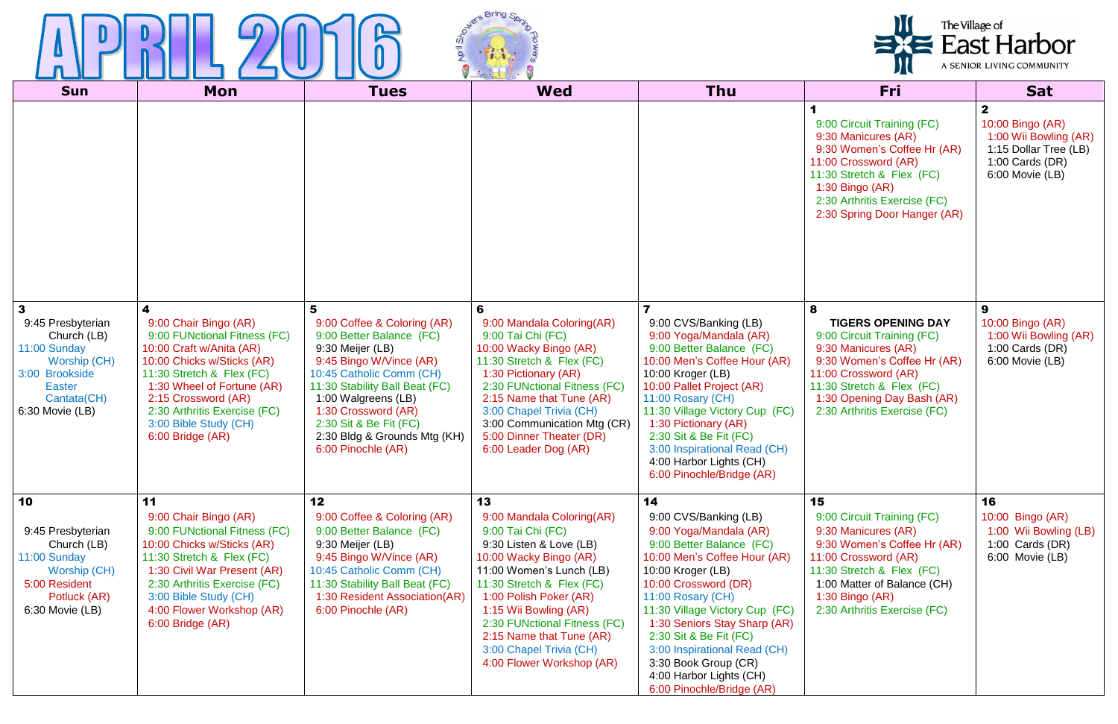



| <b>Sun</b>                                                                                                                                            | <b>Mon</b>                                                                                                                                                                                                                                                                          | <b>Tues</b>                                                                                                                                                                                                                                                                                             | <b>Wed</b>                                                                                                                                                                                                                                                                                                                                | <b>Thu</b>                                                                                                                                                                                                                                                                                                                                                                                      | Fri                                                                                                                                                                                                                                   | <b>Sat</b>                                                                                                                 |
|-------------------------------------------------------------------------------------------------------------------------------------------------------|-------------------------------------------------------------------------------------------------------------------------------------------------------------------------------------------------------------------------------------------------------------------------------------|---------------------------------------------------------------------------------------------------------------------------------------------------------------------------------------------------------------------------------------------------------------------------------------------------------|-------------------------------------------------------------------------------------------------------------------------------------------------------------------------------------------------------------------------------------------------------------------------------------------------------------------------------------------|-------------------------------------------------------------------------------------------------------------------------------------------------------------------------------------------------------------------------------------------------------------------------------------------------------------------------------------------------------------------------------------------------|---------------------------------------------------------------------------------------------------------------------------------------------------------------------------------------------------------------------------------------|----------------------------------------------------------------------------------------------------------------------------|
|                                                                                                                                                       |                                                                                                                                                                                                                                                                                     |                                                                                                                                                                                                                                                                                                         |                                                                                                                                                                                                                                                                                                                                           |                                                                                                                                                                                                                                                                                                                                                                                                 | 9:00 Circuit Training (FC)<br>9:30 Manicures (AR)<br>9:30 Women's Coffee Hr (AR)<br>11:00 Crossword (AR)<br>11:30 Stretch & Flex (FC)<br>1:30 Bingo (AR)<br>2:30 Arthritis Exercise (FC)<br>2:30 Spring Door Hanger (AR)              | $\mathbf{2}$<br>10:00 Bingo (AR)<br>1:00 Wii Bowling (AR)<br>1:15 Dollar Tree (LB)<br>1:00 Cards $(DR)$<br>6:00 Movie (LB) |
| $\mathbf{3}$<br>9:45 Presbyterian<br>Church (LB)<br>11:00 Sunday<br>Worship (CH)<br>3:00 Brookside<br><b>Easter</b><br>Cantata(CH)<br>6:30 Movie (LB) | 4<br>9:00 Chair Bingo (AR)<br>9:00 FUNctional Fitness (FC)<br>10:00 Craft w/Anita (AR)<br>10:00 Chicks w/Sticks (AR)<br>11:30 Stretch & Flex (FC)<br>1:30 Wheel of Fortune (AR)<br>2:15 Crossword (AR)<br>2:30 Arthritis Exercise (FC)<br>3:00 Bible Study (CH)<br>6:00 Bridge (AR) | 5<br>9:00 Coffee & Coloring (AR)<br>9:00 Better Balance (FC)<br>9:30 Meijer (LB)<br>9:45 Bingo W/Vince (AR)<br>10:45 Catholic Comm (CH)<br>11:30 Stability Ball Beat (FC)<br>1:00 Walgreens (LB)<br>1:30 Crossword (AR)<br>2:30 Sit & Be Fit (FC)<br>2:30 Bldg & Grounds Mtg (KH)<br>6:00 Pinochle (AR) | 6<br>9:00 Mandala Coloring(AR)<br>9:00 Tai Chi (FC)<br>10:00 Wacky Bingo (AR)<br>11:30 Stretch & Flex (FC)<br>1:30 Pictionary (AR)<br>2:30 FUNctional Fitness (FC)<br>2:15 Name that Tune (AR)<br>3:00 Chapel Trivia (CH)<br>3:00 Communication Mtg (CR)<br>5:00 Dinner Theater (DR)<br>6:00 Leader Dog (AR)                              | 9:00 CVS/Banking (LB)<br>9:00 Yoga/Mandala (AR)<br>9:00 Better Balance (FC)<br>10:00 Men's Coffee Hour (AR)<br>10:00 Kroger (LB)<br>10:00 Pallet Project (AR)<br>11:00 Rosary (CH)<br>11:30 Village Victory Cup (FC)<br>1:30 Pictionary (AR)<br>2:30 Sit & Be Fit (FC)<br>3:00 Inspirational Read (CH)<br>4:00 Harbor Lights (CH)<br>6:00 Pinochle/Bridge (AR)                                  | 8<br><b>TIGERS OPENING DAY</b><br>9:00 Circuit Training (FC)<br>9:30 Manicures (AR)<br>9:30 Women's Coffee Hr (AR)<br>11:00 Crossword (AR)<br>11:30 Stretch & Flex (FC)<br>1:30 Opening Day Bash (AR)<br>2:30 Arthritis Exercise (FC) | 9<br>10:00 Bingo (AR)<br>1:00 Wii Bowling (AR)<br>1:00 Cards $(DR)$<br>6:00 Movie (LB)                                     |
| 10<br>9:45 Presbyterian<br>Church (LB)<br>11:00 Sunday<br>Worship (CH)<br>5:00 Resident<br>Potluck (AR)<br>6:30 Movie (LB)                            | 11<br>9:00 Chair Bingo (AR)<br>9:00 FUNctional Fitness (FC)<br>10:00 Chicks w/Sticks (AR)<br>11:30 Stretch & Flex (FC)<br>1:30 Civil War Present (AR)<br>2:30 Arthritis Exercise (FC)<br>3:00 Bible Study (CH)<br>4:00 Flower Workshop (AR)<br>6:00 Bridge (AR)                     | 12<br>9:00 Coffee & Coloring (AR)<br>9:00 Better Balance (FC)<br>9:30 Meijer (LB)<br>9:45 Bingo W/Vince (AR)<br>10:45 Catholic Comm (CH)<br>11:30 Stability Ball Beat (FC)<br>1:30 Resident Association(AR)<br>6:00 Pinochle (AR)                                                                       | 13<br>9:00 Mandala Coloring(AR)<br>9:00 Tai Chi (FC)<br>9:30 Listen & Love (LB)<br>10:00 Wacky Bingo (AR)<br>11:00 Women's Lunch (LB)<br>11:30 Stretch & Flex (FC)<br>1:00 Polish Poker (AR)<br>1:15 Wii Bowling (AR)<br>2:30 FUNctional Fitness (FC)<br>2:15 Name that Tune (AR)<br>3:00 Chapel Trivia (CH)<br>4:00 Flower Workshop (AR) | 14<br>9:00 CVS/Banking (LB)<br>9:00 Yoga/Mandala (AR)<br>9:00 Better Balance (FC)<br>10:00 Men's Coffee Hour (AR)<br>10:00 Kroger (LB)<br>10:00 Crossword (DR)<br>11:00 Rosary (CH)<br>11:30 Village Victory Cup (FC)<br>1:30 Seniors Stay Sharp (AR)<br>2:30 Sit & Be Fit (FC)<br>3:00 Inspirational Read (CH)<br>3:30 Book Group (CR)<br>4:00 Harbor Lights (CH)<br>6:00 Pinochle/Bridge (AR) | 15<br>9:00 Circuit Training (FC)<br>9:30 Manicures (AR)<br>9:30 Women's Coffee Hr (AR)<br>11:00 Crossword (AR)<br>11:30 Stretch & Flex (FC)<br>1:00 Matter of Balance (CH)<br>1:30 Bingo (AR)<br>2:30 Arthritis Exercise (FC)         | 16<br>10:00 Bingo (AR)<br>1:00 Wii Bowling (LB)<br>1:00 Cards $(DR)$<br>6:00 Movie (LB)                                    |

## The Village of<br>
East Harbor A SENIOR LIVING COMMUNITY  $\mathbf{U}$